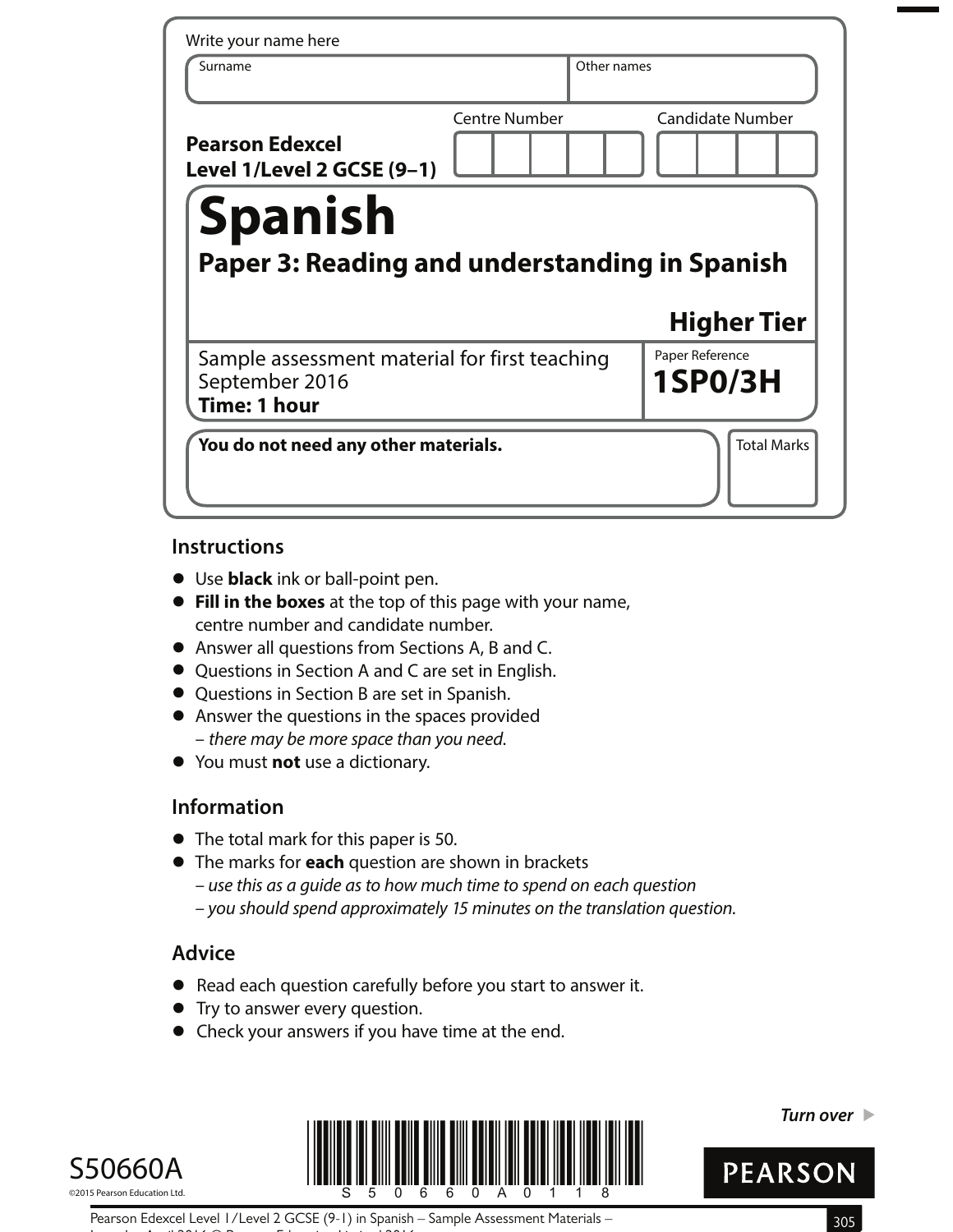| Write your name here                                                            |                      |                                   |
|---------------------------------------------------------------------------------|----------------------|-----------------------------------|
| Surname                                                                         | Other names          |                                   |
| <b>Pearson Edexcel</b><br>Level 1/Level 2 GCSE (9-1)<br><b>Spanish</b>          | <b>Centre Number</b> | <b>Candidate Number</b>           |
|                                                                                 |                      |                                   |
| <b>Paper 3: Reading and understanding in Spanish</b>                            |                      | <b>Higher Tier</b>                |
| Sample assessment material for first teaching<br>September 2016<br>Time: 1 hour |                      | Paper Reference<br><b>1SP0/3H</b> |

## **Instructions**

- **•** Use **black** ink or ball-point pen.
- **• Fill in the boxes** at the top of this page with your name, centre number and candidate number.
- **•** Answer all questions from Sections A, B and C.
- **•** Questions in Section A and C are set in English.
- **•** Questions in Section B are set in Spanish.
- **•** Answer the questions in the spaces provided – there may be more space than you need.
- **•** You must **not** use a dictionary.

# **Information**

- **•** The total mark for this paper is 50.
- **•** The marks for **each** question are shown in brackets
	- use this as a guide as to how much time to spend on each question
	- you should spend approximately 15 minutes on the translation question.

# **Advice**

- **•** Read each question carefully before you start to answer it.
- **•** Try to answer every question.
- **•** Check your answers if you have time at the end.





**Turn over** 



Pearson Edexcel Level 1/Level 2 GCSE (9-1) in Spanish – Sample Assessment Materials – 305 Issue 1 – April 2016 © Pearson Education Limited 2016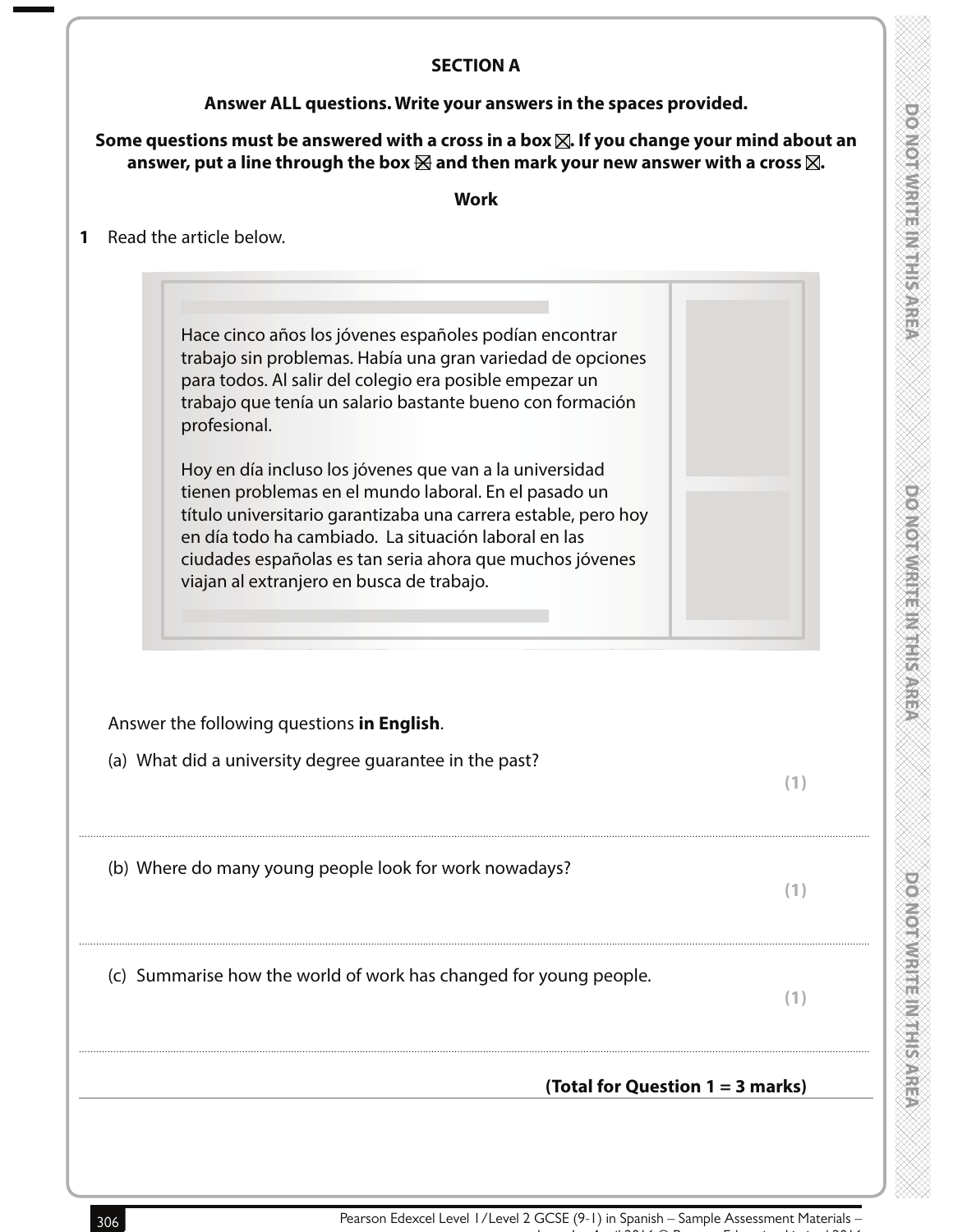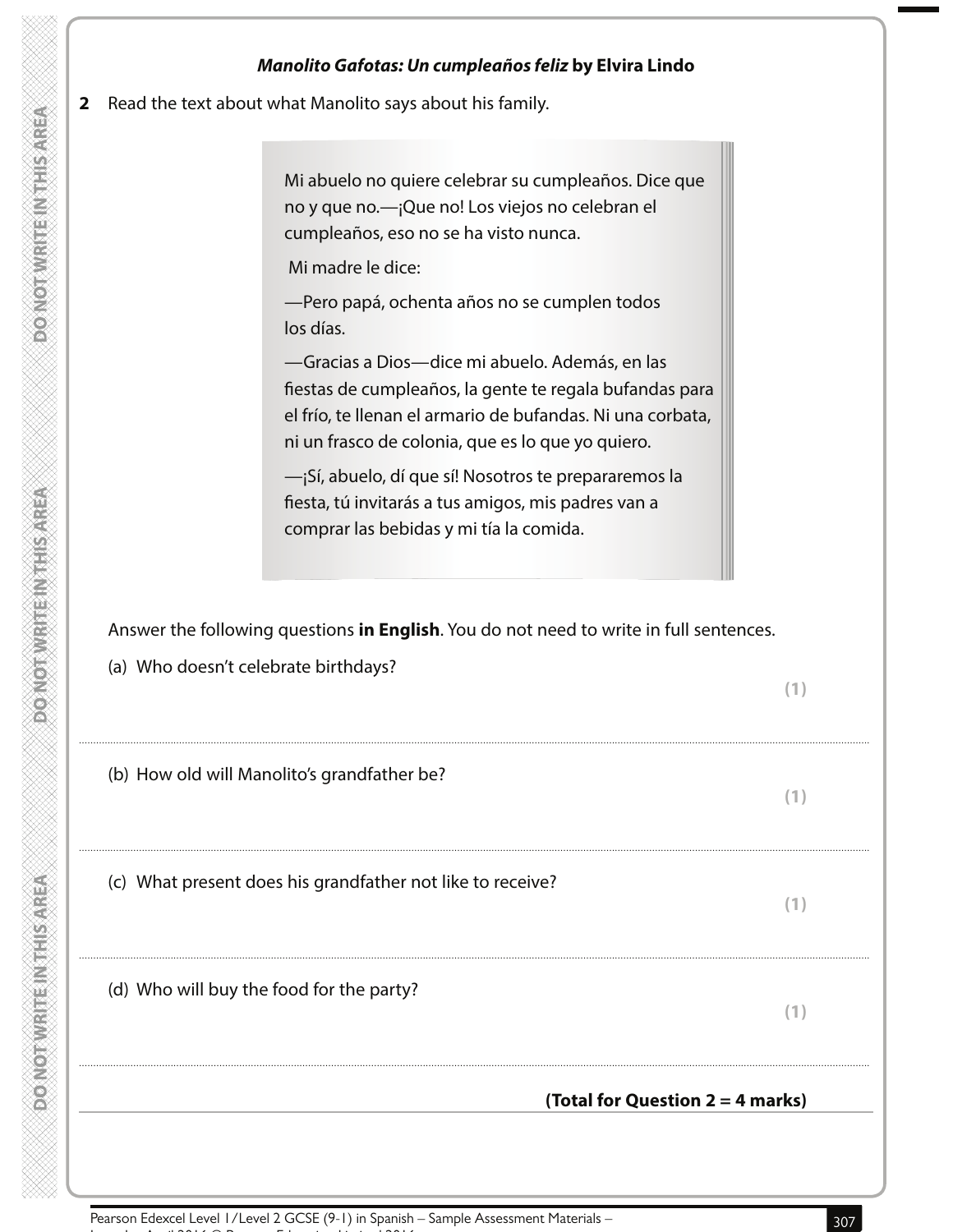|              | Manolito Gafotas: Un cumpleaños feliz by Elvira Lindo                                                                                                                                                                                     |     |
|--------------|-------------------------------------------------------------------------------------------------------------------------------------------------------------------------------------------------------------------------------------------|-----|
| $\mathbf{2}$ | Read the text about what Manolito says about his family.                                                                                                                                                                                  |     |
|              | Mi abuelo no quiere celebrar su cumpleaños. Dice que<br>no y que no. -- ¡Que no! Los viejos no celebran el<br>cumpleaños, eso no se ha visto nunca.<br>Mi madre le dice:<br>-Pero papá, ochenta años no se cumplen todos                  |     |
|              | los días.<br>-Gracias a Dios-dice mi abuelo. Además, en las<br>fiestas de cumpleaños, la gente te regala bufandas para<br>el frío, te llenan el armario de bufandas. Ni una corbata,<br>ni un frasco de colonia, que es lo que yo quiero. |     |
|              | -iSí, abuelo, dí que sí! Nosotros te prepararemos la<br>fiesta, tú invitarás a tus amigos, mis padres van a<br>comprar las bebidas y mi tía la comida.                                                                                    |     |
|              | Answer the following questions in English. You do not need to write in full sentences.                                                                                                                                                    |     |
|              | (a) Who doesn't celebrate birthdays?                                                                                                                                                                                                      |     |
|              |                                                                                                                                                                                                                                           | (1) |
|              | (b) How old will Manolito's grandfather be?                                                                                                                                                                                               | (1) |
|              | (c) What present does his grandfather not like to receive?                                                                                                                                                                                | (1) |
|              | (d) Who will buy the food for the party?                                                                                                                                                                                                  | (1) |

**PONOTIVIRITEIN THE AREA** 

**DONOTWRITE INTHIS AREA** 

**DOMOTWRITEIN THIS AREA**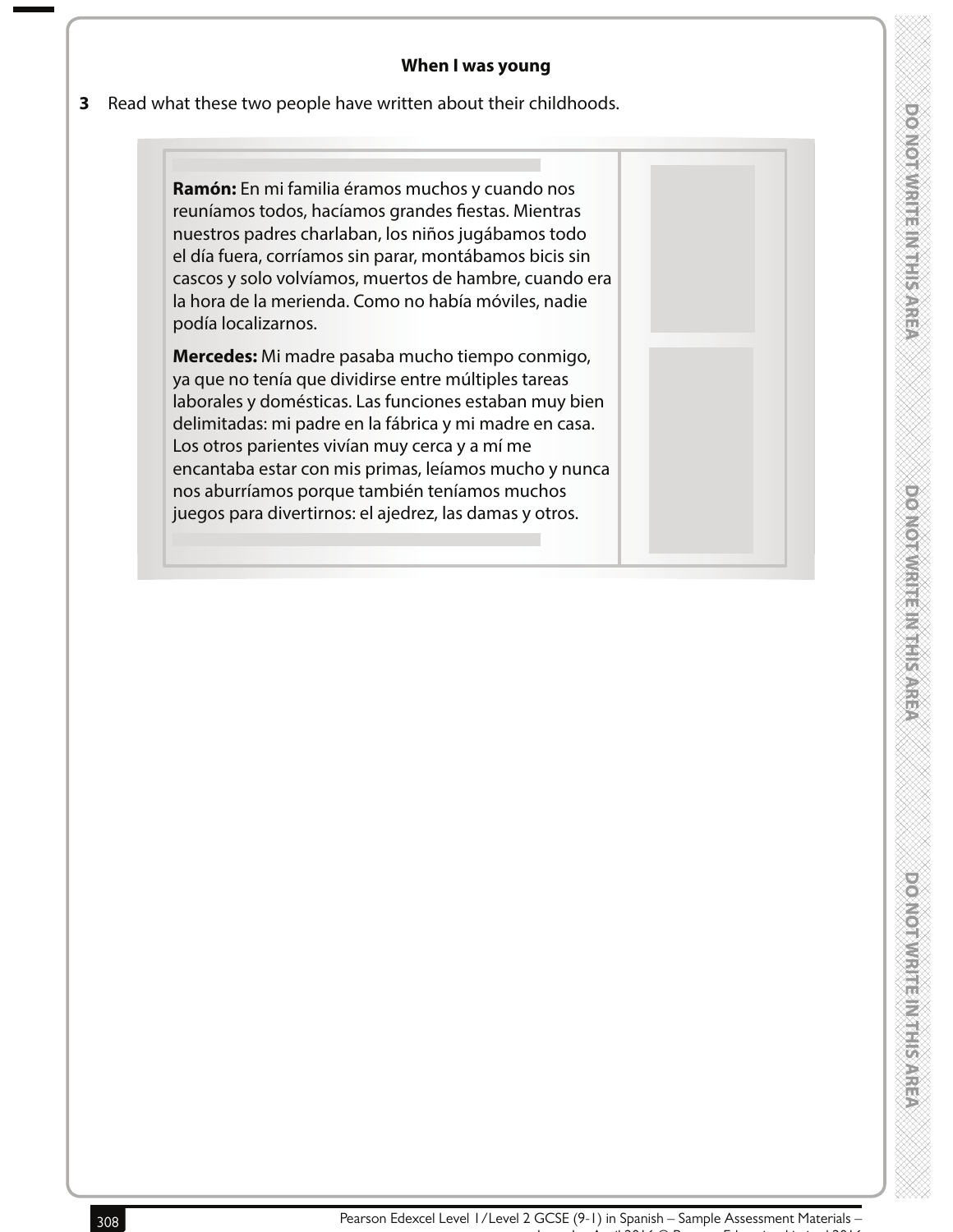#### **When I was young**

#### **3** Read what these two people have written about their childhoods.

**Ramón:** En mi familia éramos muchos y cuando nos reuníamos todos, hacíamos grandes fiestas. Mientras nuestros padres charlaban, los niños jugábamos todo el día fuera, corríamos sin parar, montábamos bicis sin cascos y solo volvíamos, muertos de hambre, cuando era la hora de la merienda. Como no había móviles, nadie podía localizarnos.

**Mercedes:** Mi madre pasaba mucho tiempo conmigo, ya que no tenía que dividirse entre múltiples tareas laborales y domésticas. Las funciones estaban muy bien delimitadas: mi padre en la fábrica y mi madre en casa. Los otros parientes vivían muy cerca y a mí me encantaba estar con mis primas, leíamos mucho y nunca nos aburríamos porque también teníamos muchos juegos para divertirnos: el ajedrez, las damas y otros.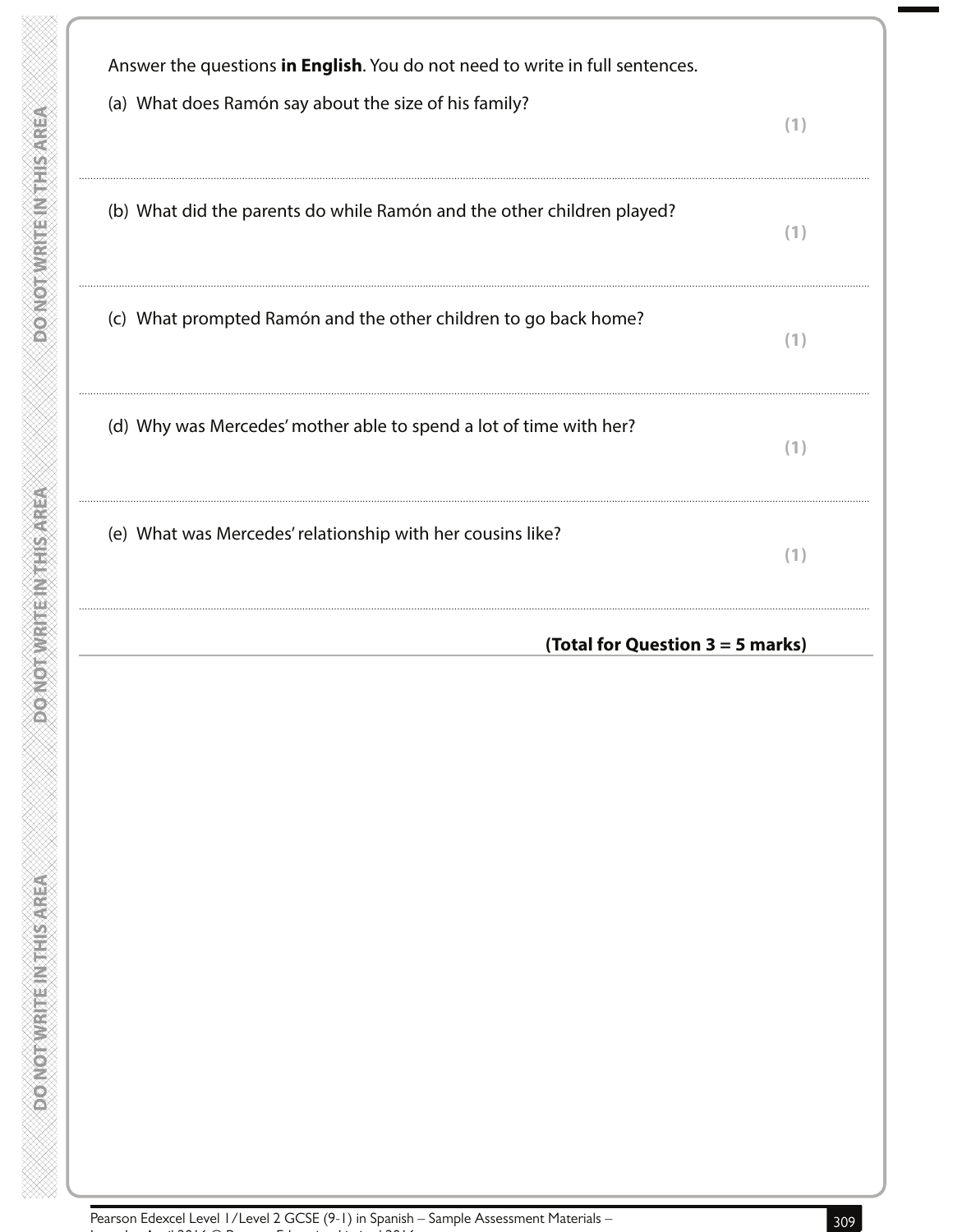| Answer the questions in English. You do not need to write in full sentences.<br>(a) What does Ramón say about the size of his family? |                                  |
|---------------------------------------------------------------------------------------------------------------------------------------|----------------------------------|
|                                                                                                                                       | (1)                              |
| (b) What did the parents do while Ramón and the other children played?                                                                | (1)                              |
|                                                                                                                                       |                                  |
| (c) What prompted Ramón and the other children to go back home?                                                                       | (1)                              |
|                                                                                                                                       |                                  |
| (d) Why was Mercedes' mother able to spend a lot of time with her?                                                                    | (1)                              |
| (e) What was Mercedes' relationship with her cousins like?                                                                            |                                  |
|                                                                                                                                       | (1)                              |
|                                                                                                                                       | (Total for Question 3 = 5 marks) |
|                                                                                                                                       |                                  |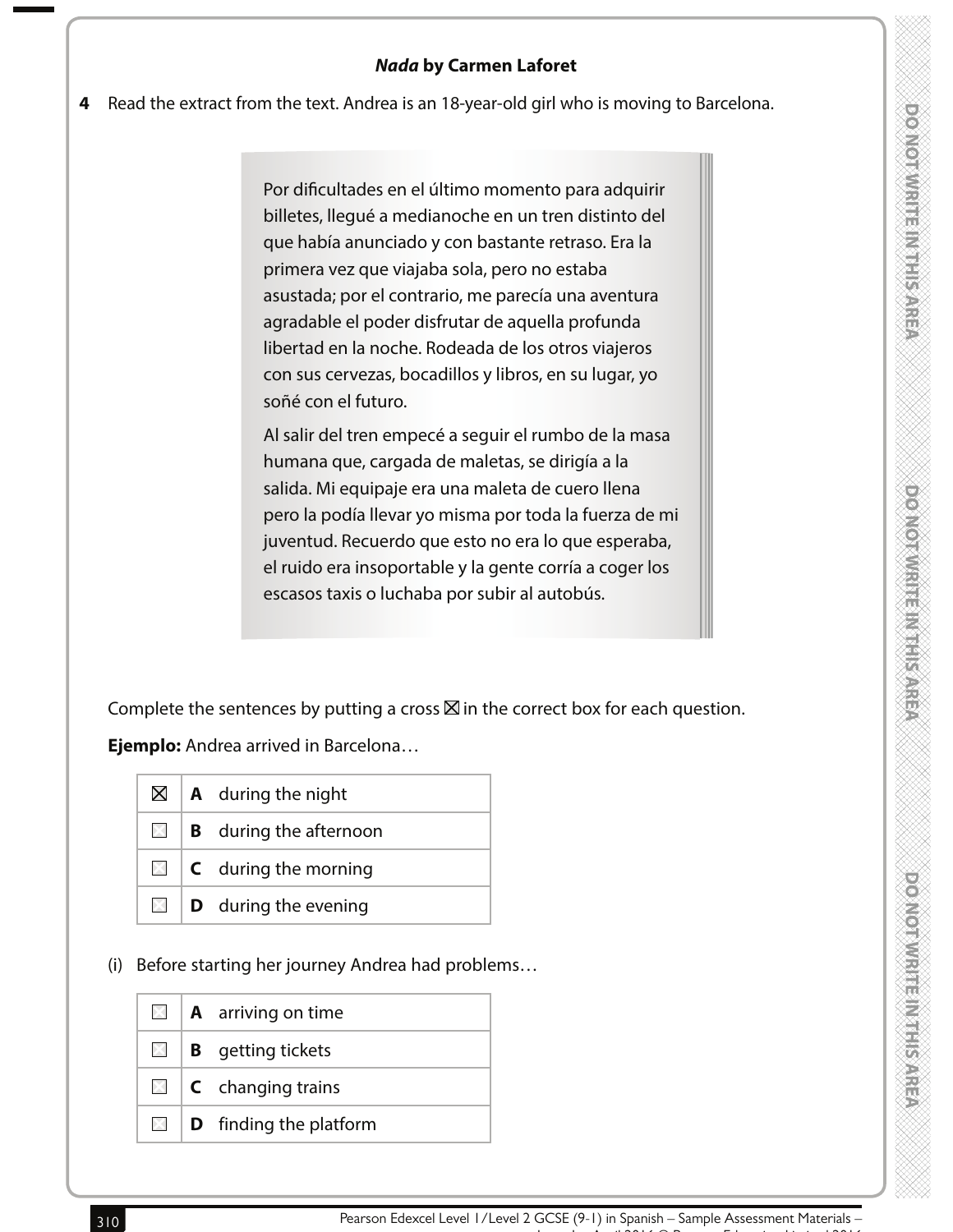#### **4** Read the extract from the text. Andrea is an 18-year-old girl who is moving to Barcelona.

Por dificultades en el último momento para adquirir billetes, llegué a medianoche en un tren distinto del que había anunciado y con bastante retraso. Era la primera vez que viajaba sola, pero no estaba asustada; por el contrario, me parecía una aventura agradable el poder disfrutar de aquella profunda libertad en la noche. Rodeada de los otros viajeros con sus cervezas, bocadillos y libros, en su lugar, yo soñé con el futuro.

Al salir del tren empecé a seguir el rumbo de la masa humana que, cargada de maletas, se dirigía a la salida. Mi equipaje era una maleta de cuero llena pero la podía llevar yo misma por toda la fuerza de mi juventud. Recuerdo que esto no era lo que esperaba, el ruido era insoportable y la gente corría a coger los escasos taxis o luchaba por subir al autobús.

Complete the sentences by putting a cross  $\boxtimes$  in the correct box for each question.

**Ejemplo:** Andrea arrived in Barcelona…

| $\boxtimes$ 1  | <b>A</b> during the night     |
|----------------|-------------------------------|
| $\mathbb{X}$ i | <b>B</b> during the afternoon |
| $\boxtimes$    | $C$ during the morning        |
| $\times$ 1     | <b>D</b> during the evening   |

(i) Before starting her journey Andrea had problems…

| $\times$ 1 | <b>A</b> arriving on time               |
|------------|-----------------------------------------|
| IXI I      | <b>B</b> getting tickets                |
|            | $\blacksquare$ <b>C</b> changing trains |
| $\times$ 1 | <b>D</b> finding the platform           |

ENGEL BRANDEN MEDICINE

**DOMORATION ENTRY**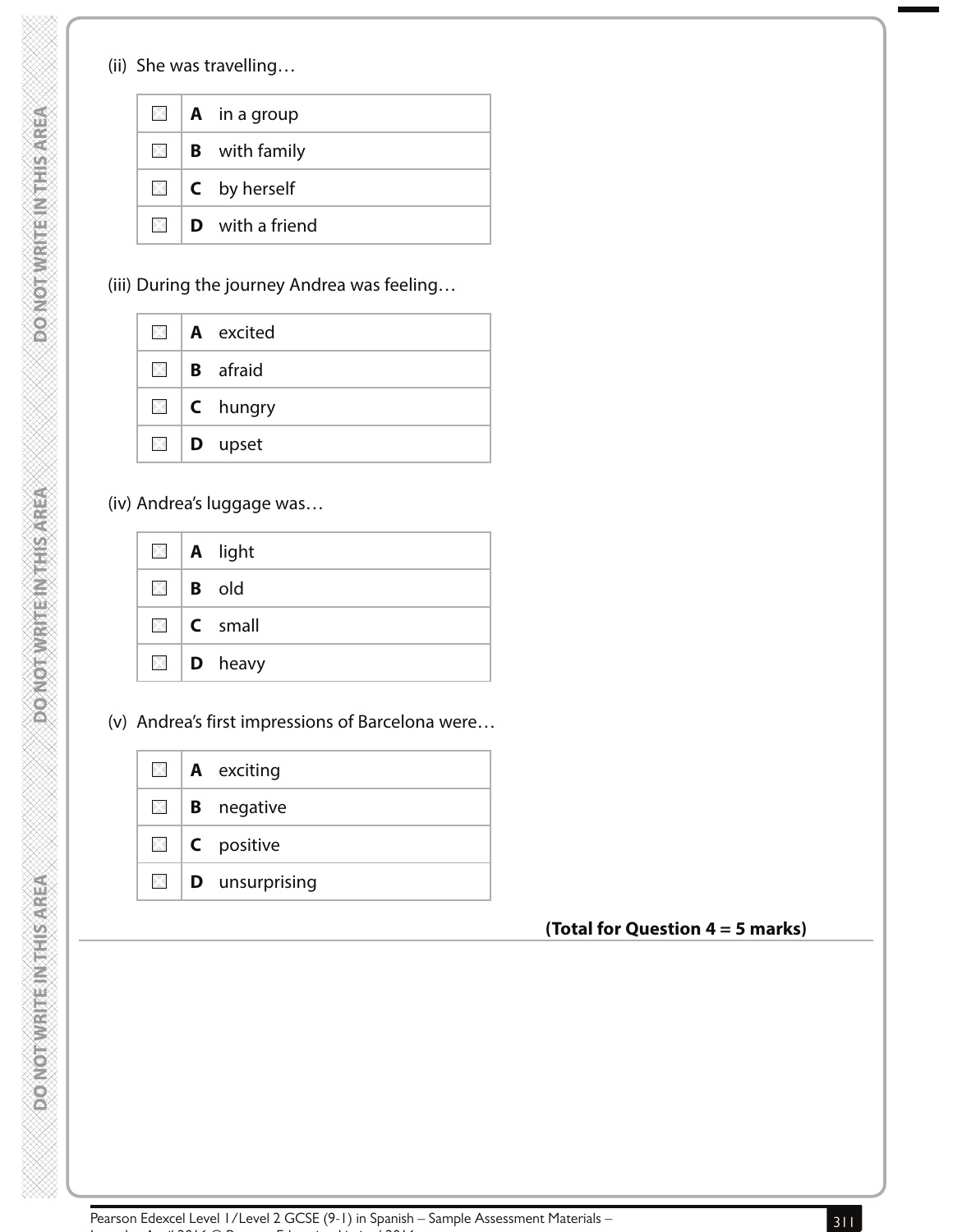**ABRANDED MENTION OF CREA** 

**PONOTWEITEINTHIS AREA** 

**ABINGSILLENNEEDWALOWOOD** 

|       | $\Box$   <b>A</b> in a group |
|-------|------------------------------|
|       | $\Box$ <b>B</b> with family  |
|       | $\boxtimes$   C by herself   |
| IXI I | <b>D</b> with a friend       |

(iii) During the journey Andrea was feeling…

|  | $\blacksquare$   A excited       |
|--|----------------------------------|
|  | $\blacksquare$   <b>B</b> afraid |
|  | $\Box$   C hungry                |
|  | $\Box$   <b>D</b> upset          |

(iv) Andrea's luggage was…

|  | $\Box$   A light        |
|--|-------------------------|
|  | $\boxtimes$ B old       |
|  | $\Box$   <b>C</b> small |
|  | $\Box$   <b>D</b> heavy |

(v) Andrea's first impressions of Barcelona were…

|  | $\blacksquare$   <b>A</b> exciting  |
|--|-------------------------------------|
|  | $\Box$ <b>B</b> negative            |
|  | $\Box$ <b>C</b> positive            |
|  | $\boxtimes$   <b>D</b> unsurprising |

# **(Total for Question 4 = 5 marks)**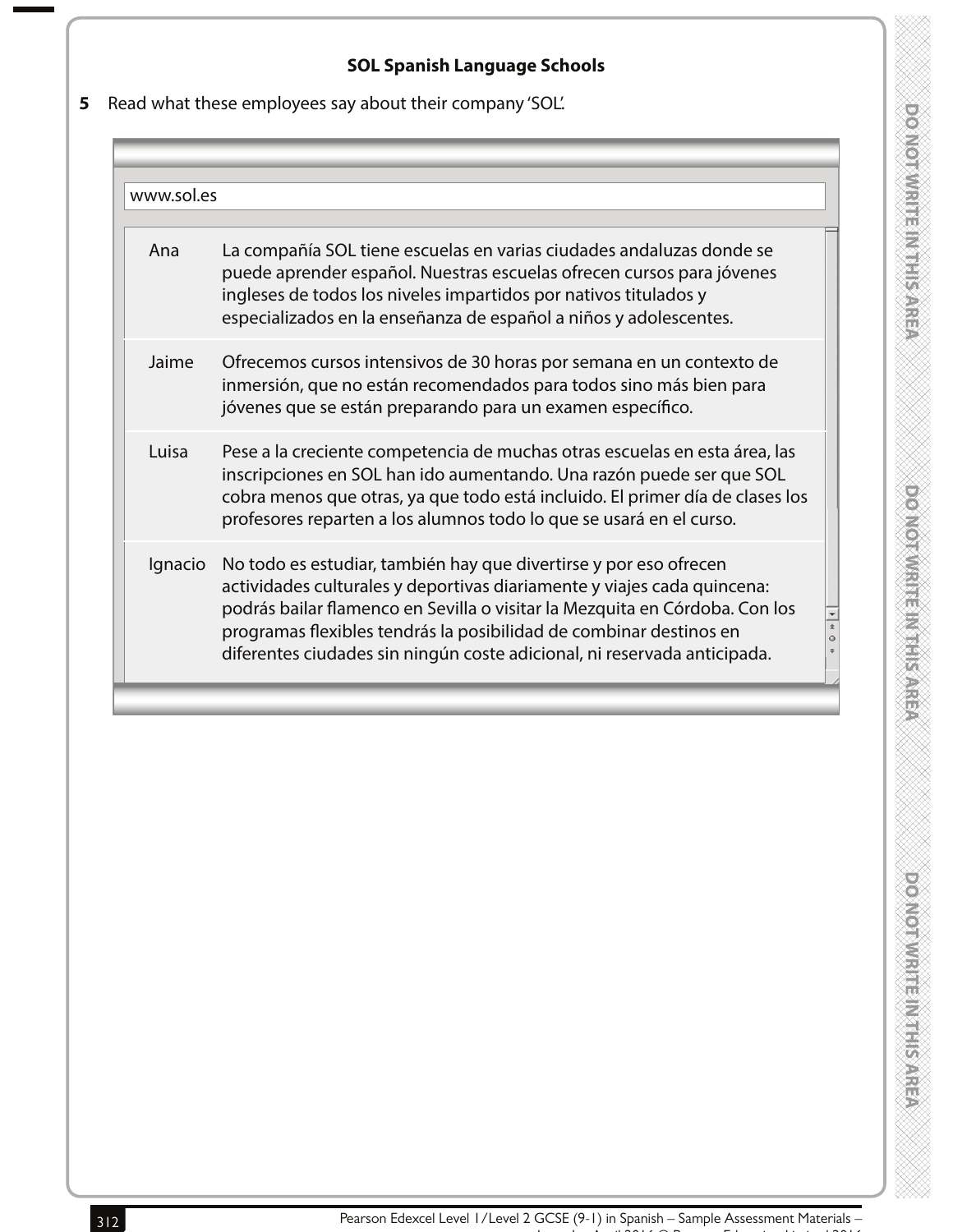# **SOL Spanish Language Schools**

**5** Read what these employees say about their company 'SOL'.

| www.sol.es |                                                                                                                                                                                                                                                                                                                                                                               |
|------------|-------------------------------------------------------------------------------------------------------------------------------------------------------------------------------------------------------------------------------------------------------------------------------------------------------------------------------------------------------------------------------|
|            |                                                                                                                                                                                                                                                                                                                                                                               |
| Ana        | La compañía SOL tiene escuelas en varias ciudades andaluzas donde se<br>puede aprender español. Nuestras escuelas ofrecen cursos para jóvenes<br>ingleses de todos los niveles impartidos por nativos titulados y<br>especializados en la enseñanza de español a niños y adolescentes.                                                                                        |
| Jaime      | Ofrecemos cursos intensivos de 30 horas por semana en un contexto de<br>inmersión, que no están recomendados para todos sino más bien para<br>jóvenes que se están preparando para un examen específico.                                                                                                                                                                      |
| Luisa      | Pese a la creciente competencia de muchas otras escuelas en esta área, las<br>inscripciones en SOL han ido aumentando. Una razón puede ser que SOL<br>cobra menos que otras, ya que todo está incluido. El primer día de clases los<br>profesores reparten a los alumnos todo lo que se usará en el curso.                                                                    |
| Ignacio    | No todo es estudiar, también hay que divertirse y por eso ofrecen<br>actividades culturales y deportivas diariamente y viajes cada quincena:<br>podrás bailar flamenco en Sevilla o visitar la Mezquita en Córdoba. Con los<br>programas flexibles tendrás la posibilidad de combinar destinos en<br>diferentes ciudades sin ningún coste adicional, ni reservada anticipada. |
|            |                                                                                                                                                                                                                                                                                                                                                                               |

 $\begin{array}{c|c|c|c|c|c} \hline \ast & \circ & \ast & \bullet \end{array}$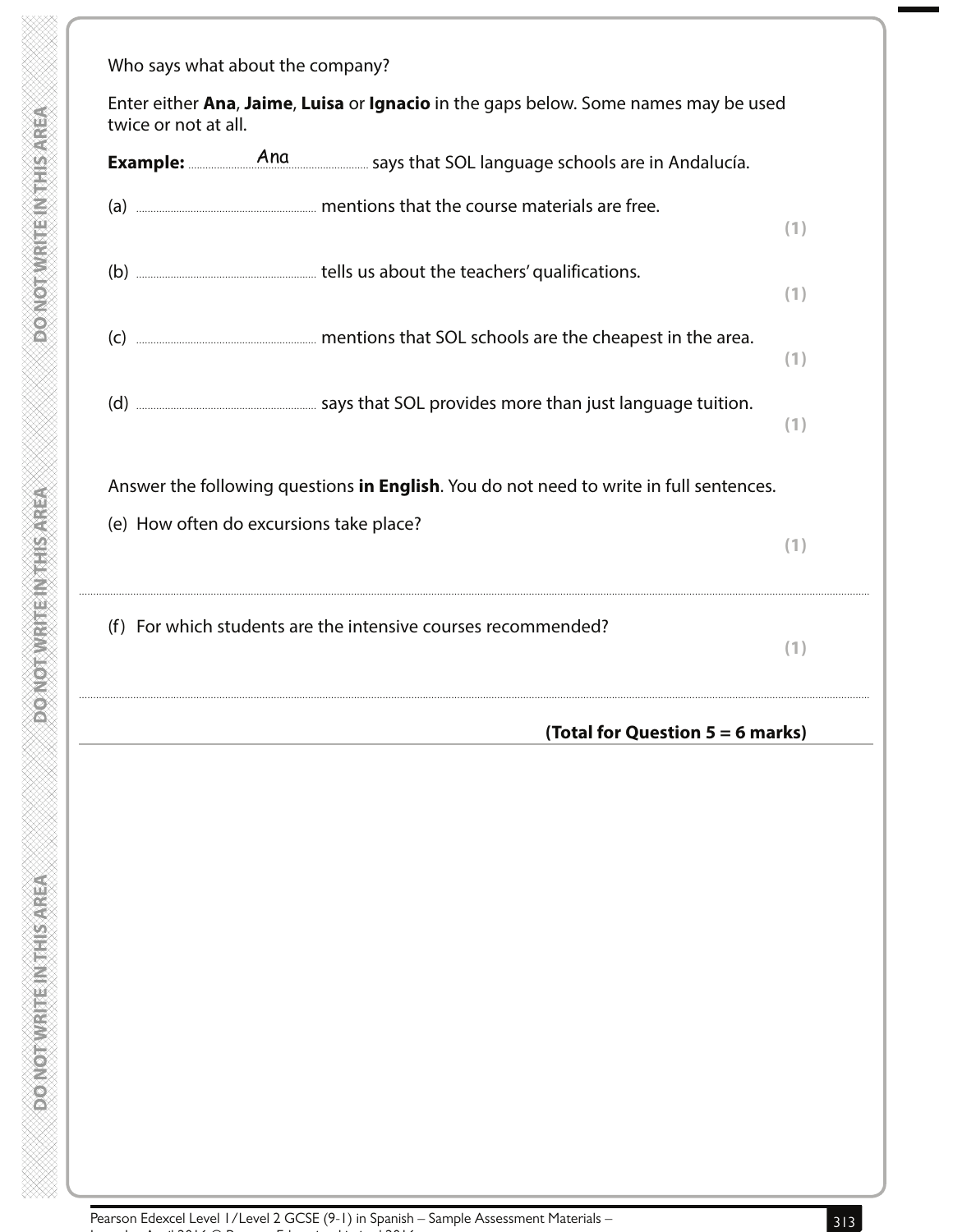| twice or not at all. |                                         | Enter either Ana, Jaime, Luisa or Ignacio in the gaps below. Some names may be used       |     |
|----------------------|-----------------------------------------|-------------------------------------------------------------------------------------------|-----|
|                      |                                         | <b>Example:</b> And And Example: And And Says that SOL language schools are in Andalucía. |     |
|                      |                                         |                                                                                           | (1) |
|                      |                                         |                                                                                           | (1) |
|                      |                                         | (c) <b>Manual Example 2</b> mentions that SOL schools are the cheapest in the area.       | (1) |
|                      |                                         |                                                                                           | (1) |
|                      |                                         | Answer the following questions in English. You do not need to write in full sentences.    |     |
|                      | (e) How often do excursions take place? |                                                                                           | (1) |
|                      |                                         | (f) For which students are the intensive courses recommended?                             | (1) |
|                      |                                         | (Total for Question $5 = 6$ marks)                                                        |     |
|                      |                                         |                                                                                           |     |
|                      |                                         |                                                                                           |     |
|                      |                                         |                                                                                           |     |
|                      |                                         |                                                                                           |     |
|                      |                                         |                                                                                           |     |
|                      |                                         |                                                                                           |     |

**DO NOT WRITEINTHIS AREA** 

DO NOT WRITE IN THIS AREA

**DONOTWRITEINTHIS AREA**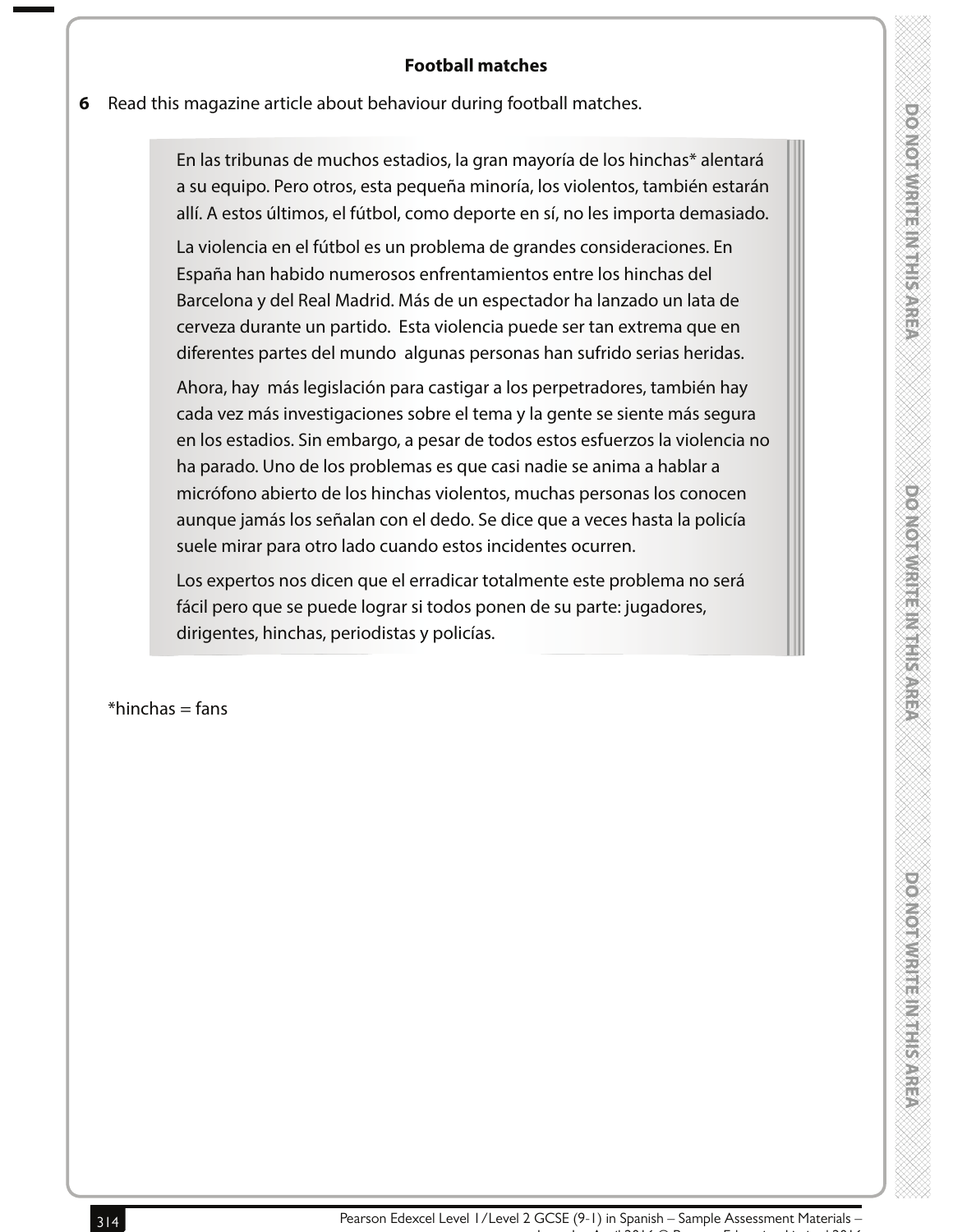# **DOMORATION SERVICES**

policial distribution is the

**6** Read this magazine article about behaviour during football matches.

En las tribunas de muchos estadios, la gran mayoría de los hinchas\* alentará a su equipo. Pero otros, esta pequeña minoría, los violentos, también estarán allí. A estos últimos, el fútbol, como deporte en sí, no les importa demasiado.

La violencia en el fútbol es un problema de grandes consideraciones. En España han habido numerosos enfrentamientos entre los hinchas del Barcelona y del Real Madrid. Más de un espectador ha lanzado un lata de cerveza durante un partido. Esta violencia puede ser tan extrema que en diferentes partes del mundo algunas personas han sufrido serias heridas.

Ahora, hay más legislación para castigar a los perpetradores, también hay cada vez más investigaciones sobre el tema y la gente se siente más segura en los estadios. Sin embargo, a pesar de todos estos esfuerzos la violencia no ha parado. Uno de los problemas es que casi nadie se anima a hablar a micrófono abierto de los hinchas violentos, muchas personas los conocen aunque jamás los señalan con el dedo. Se dice que a veces hasta la policía suele mirar para otro lado cuando estos incidentes ocurren.

Los expertos nos dicen que el erradicar totalmente este problema no será fácil pero que se puede lograr si todos ponen de su parte: jugadores, dirigentes, hinchas, periodistas y policías.

 $*$ hinchas = fans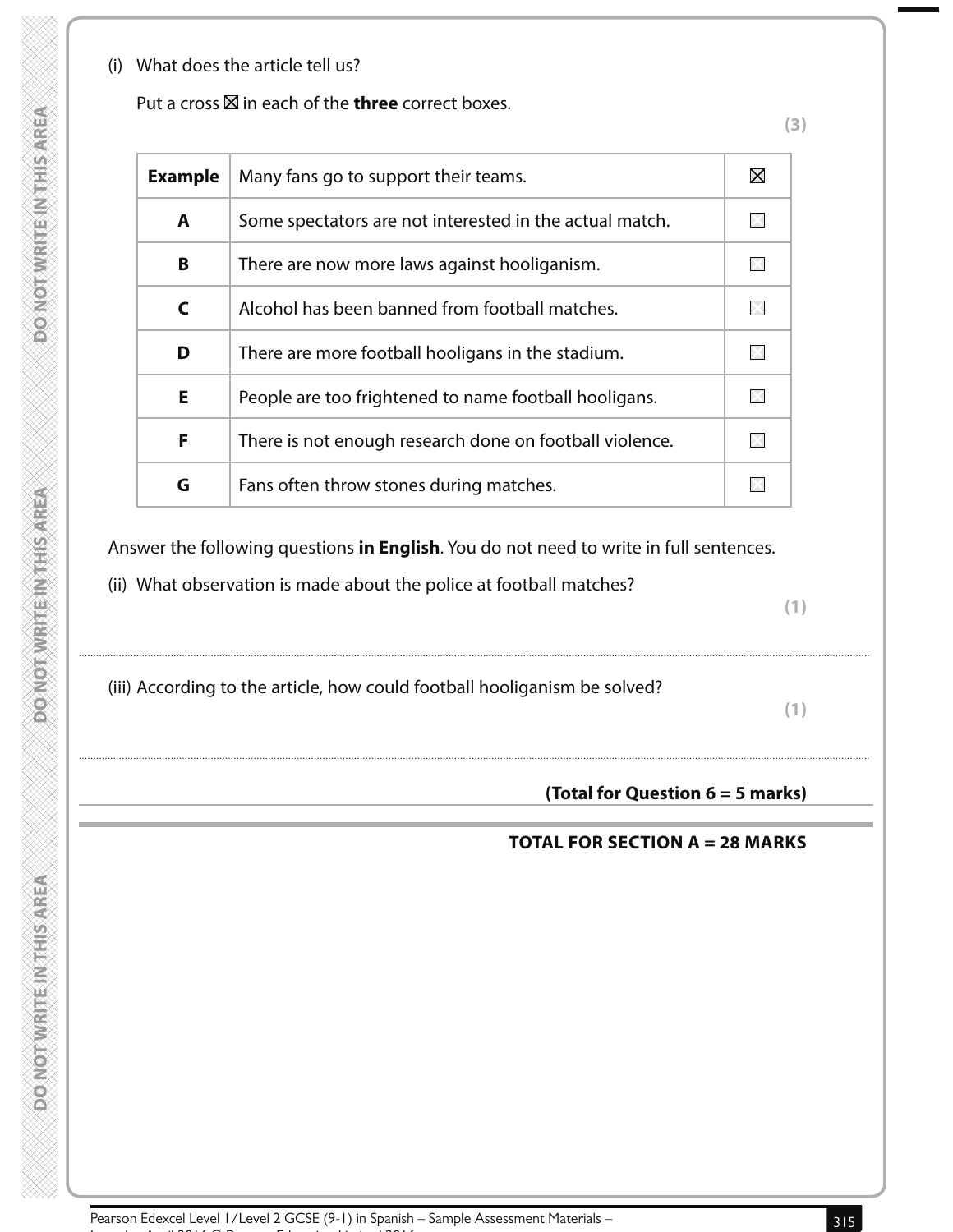(i) What does the article tell us?

| Put a cross $\boxtimes$ in each of the <b>three</b> correct boxes. |  |
|--------------------------------------------------------------------|--|
|--------------------------------------------------------------------|--|

**(3)**

| <b>Example</b> | Many fans go to support their teams.                    |  |
|----------------|---------------------------------------------------------|--|
| A              | Some spectators are not interested in the actual match. |  |
| B              | There are now more laws against hooliganism.            |  |
| C              | Alcohol has been banned from football matches.          |  |
| D              | There are more football hooligans in the stadium.       |  |
| E.             | People are too frightened to name football hooligans.   |  |
| F              | There is not enough research done on football violence. |  |
| G              | Fans often throw stones during matches.                 |  |

Answer the following questions **in English**. You do not need to write in full sentences.

....................................................................................................................................................................................................................................................................................

....................................................................................................................................................................................................................................................................................

(ii) What observation is made about the police at football matches?

**(1)**

(iii) According to the article, how could football hooliganism be solved?

**(1)**

**(Total for Question 6 = 5 marks)**

# **TOTAL FOR SECTION A = 28 MARKS**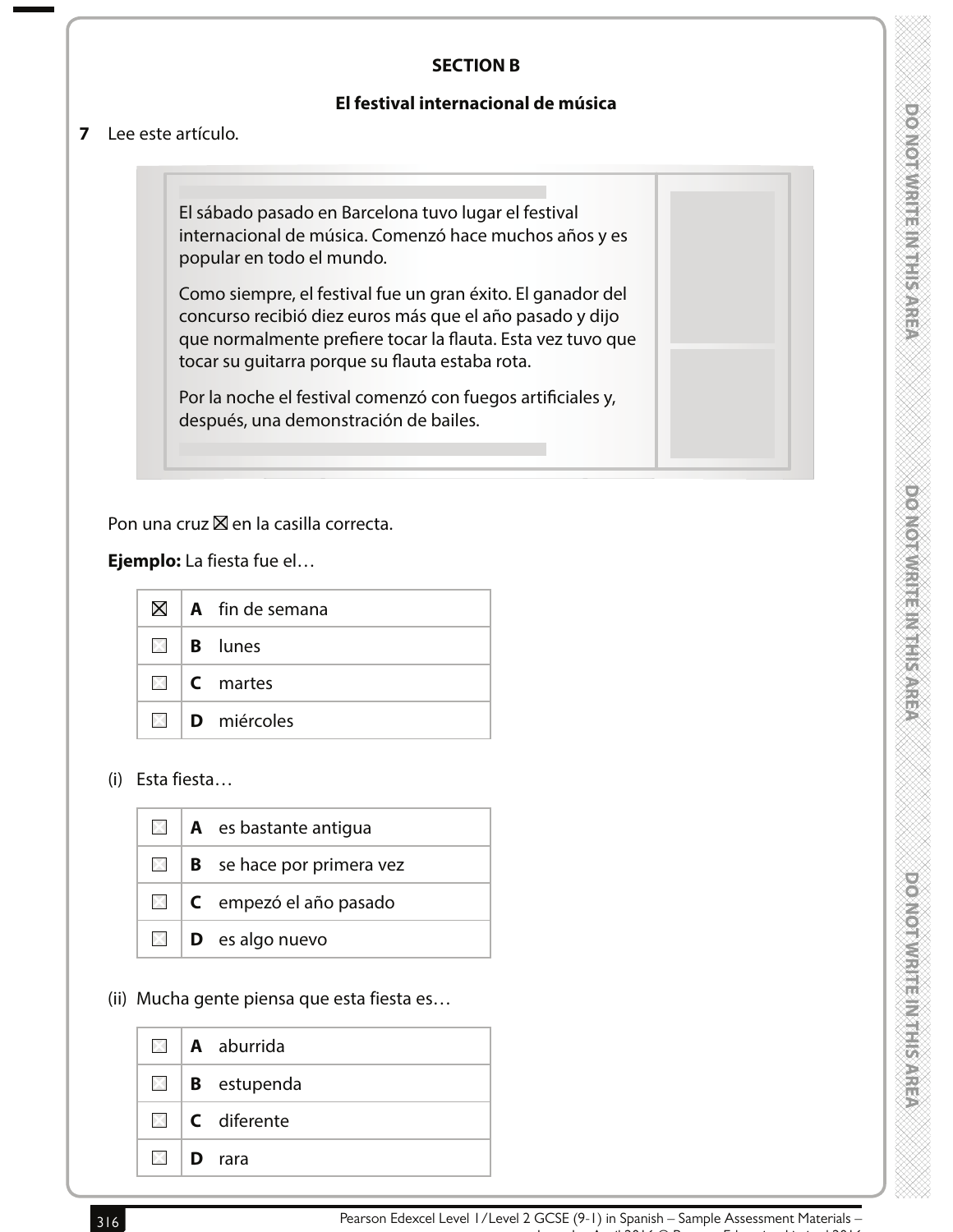### **SECTION B**

#### **El festival internacional de música**

#### **7** Lee este artículo.

El sábado pasado en Barcelona tuvo lugar el festival internacional de música. Comenzó hace muchos años y es popular en todo el mundo.

Como siempre, el festival fue un gran éxito. El ganador del concurso recibió diez euros más que el año pasado y dijo que normalmente prefiere tocar la flauta. Esta vez tuvo que tocar su guitarra porque su flauta estaba rota.

Por la noche el festival comenzó con fuegos artificiales y, después, una demonstración de bailes.

#### Pon una cruz  $\boxtimes$  en la casilla correcta.

 **Ejemplo:** La fiesta fue el…

| $\boxtimes$ | $\overline{A}$ fin de semana     |
|-------------|----------------------------------|
|             | $\boxtimes$   <b>B</b> lunes     |
|             | $\blacksquare$   <b>C</b> martes |
|             | $\boxtimes$ D miércoles          |

(i) Esta fiesta…

| IXI I        | <b>A</b> es bastante antiqua     |
|--------------|----------------------------------|
| BSI 1        | <b>B</b> se hace por primera vez |
| $\mathbb{X}$ | C empezó el año pasado           |
| XII          | <b>D</b> es algo nuevo           |

#### (ii) Mucha gente piensa que esta fiesta es…

| $\times$ 1 | <b>A</b> aburrida                |
|------------|----------------------------------|
|            | $\Box$ <b>B</b> estupenda        |
|            | $\boxtimes$   <b>C</b> diferente |
| <b>EX</b>  | <b>D</b> rara                    |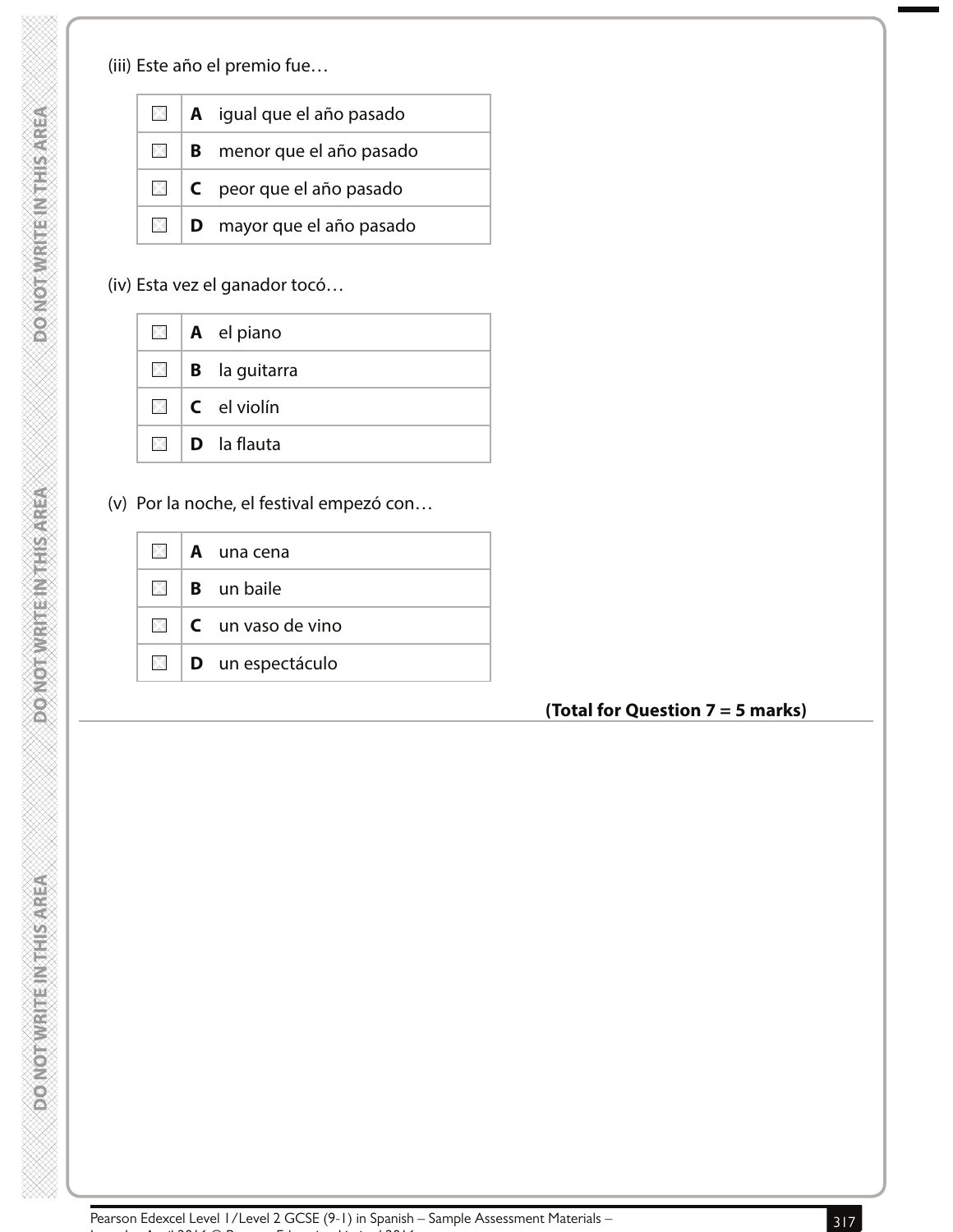**DONOTWRITEINTHISAREA** 

**DOMOTWRITEIN THIS AREA** 

(iii) Este año el premio fue…

| $\times$      | A igual que el año pasado        |
|---------------|----------------------------------|
| $\boxtimes$ 1 | <b>B</b> menor que el año pasado |
| $\times$      | C peor que el año pasado         |
| XI.           | <b>D</b> mayor que el año pasado |

# (iv) Esta vez el ganador tocó…

|  | $\Box$   <b>A</b> el piano       |
|--|----------------------------------|
|  | $\Box$ <b>B</b> la guitarra      |
|  | $\Box$ $\Box$ el violín          |
|  | $\boxtimes$   <b>D</b> la flauta |

(v) Por la noche, el festival empezó con…

|          | $\boxtimes$   A una cena                  |
|----------|-------------------------------------------|
|          | $\boxtimes$   <b>B</b> un baile           |
|          | $\mathbb{N}$ $\mathsf{C}$ un vaso de vino |
| $\times$ | <b>D</b> un espectáculo                   |

## **(Total for Question 7 = 5 marks)**

Pearson Edexcel Level 1/Level 2 GCSE (9-1) in Spanish – Sample Assessment Materials –<br>. Issue 1 – April 2016 © Pearson Education Limited 2016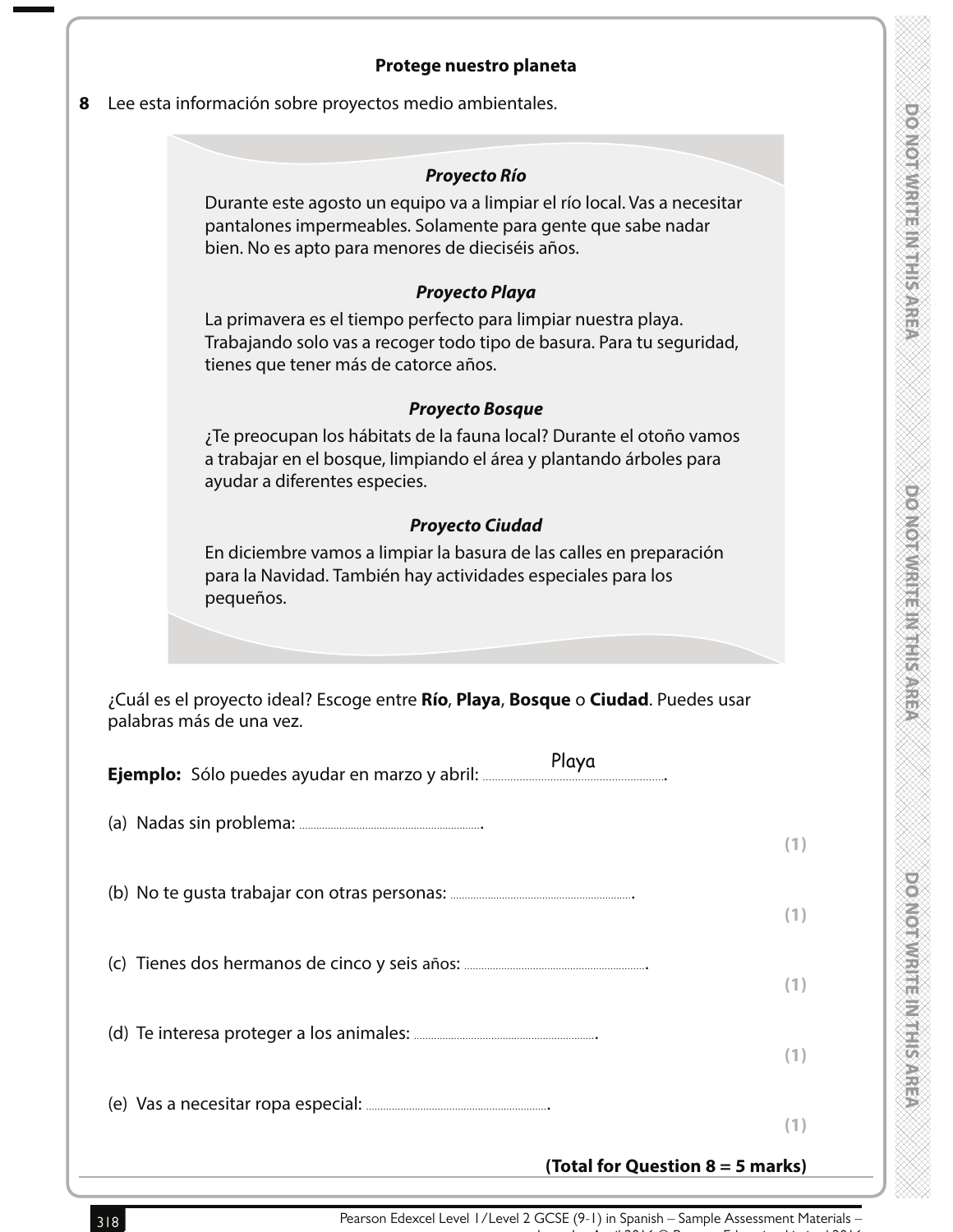policient et al. et al. et al. et al.

**Drotterwisms Millies Area** 

#### **Protege nuestro planeta**

**8** Lee esta información sobre proyectos medio ambientales.

#### **Proyecto Río**

Durante este agosto un equipo va a limpiar el río local. Vas a necesitar pantalones impermeables. Solamente para gente que sabe nadar bien. No es apto para menores de dieciséis años.

#### **Proyecto Playa**

La primavera es el tiempo perfecto para limpiar nuestra playa. Trabajando solo vas a recoger todo tipo de basura. Para tu seguridad, tienes que tener más de catorce años.

#### **Proyecto Bosque**

¿Te preocupan los hábitats de la fauna local? Durante el otoño vamos a trabajar en el bosque, limpiando el área y plantando árboles para ayudar a diferentes especies.

# **Proyecto Ciudad**

En diciembre vamos a limpiar la basura de las calles en preparación para la Navidad. También hay actividades especiales para los pequeños.

 ¿Cuál es el proyecto ideal? Escoge entre **Río**, **Playa**, **Bosque** o **Ciudad**. Puedes usar palabras más de una vez.

|  | Playa                              |     |
|--|------------------------------------|-----|
|  |                                    | (1) |
|  |                                    | (1) |
|  |                                    | (1) |
|  |                                    | (1) |
|  |                                    | (1) |
|  | (Total for Question $8 = 5$ marks) |     |

Pearson Edexcel Level 1/Level 2 GCSE (9-1) in Spanish – Sample Assessment Materials –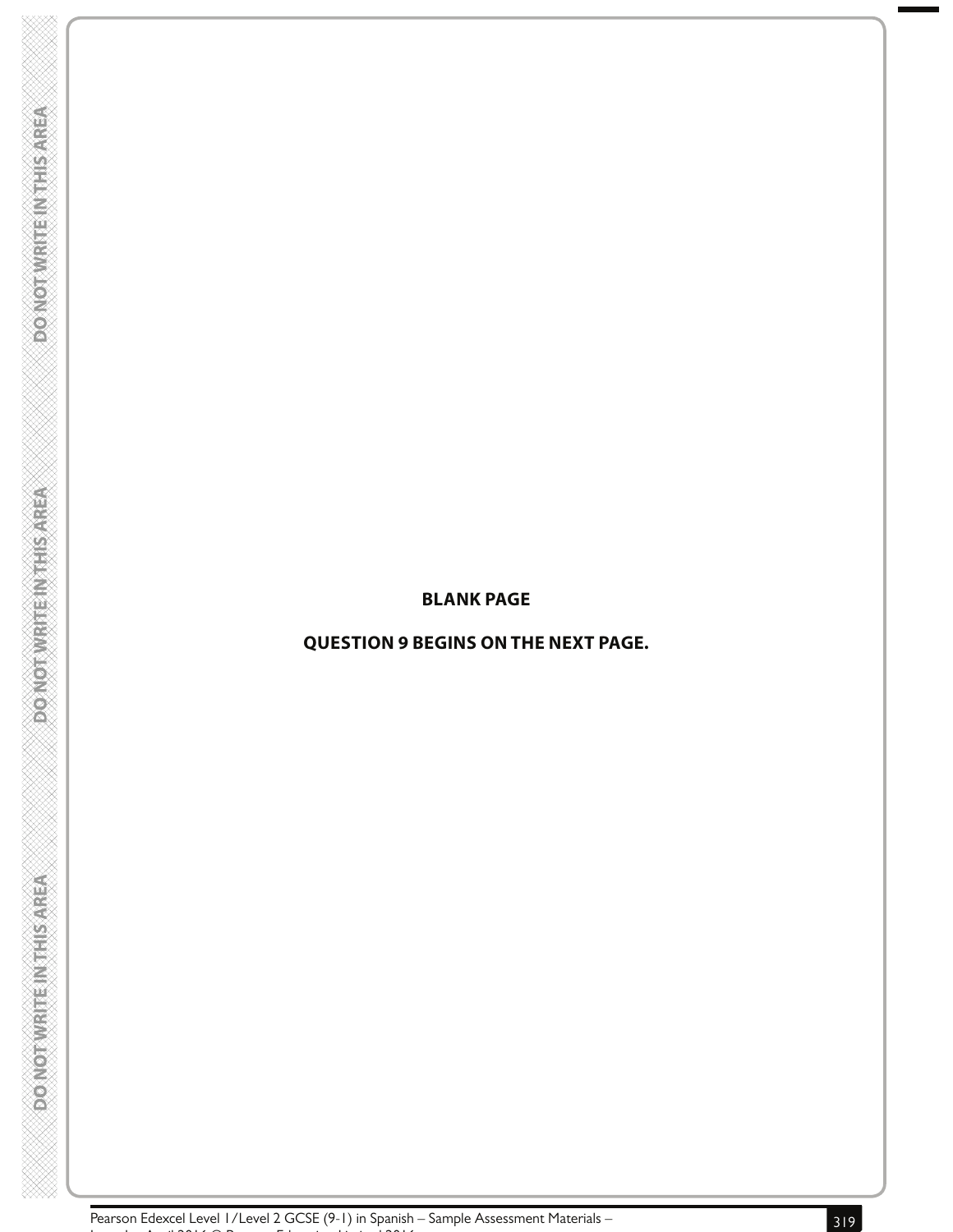#### **BLANK PAGE**

# **QUESTION 9 BEGINS ON THE NEXT PAGE.**

**DOONOTWRITENTHIS AREA** 

**PONOTWRITE INTHISAREA** 

**DONOTWRITEINTHIS AREA**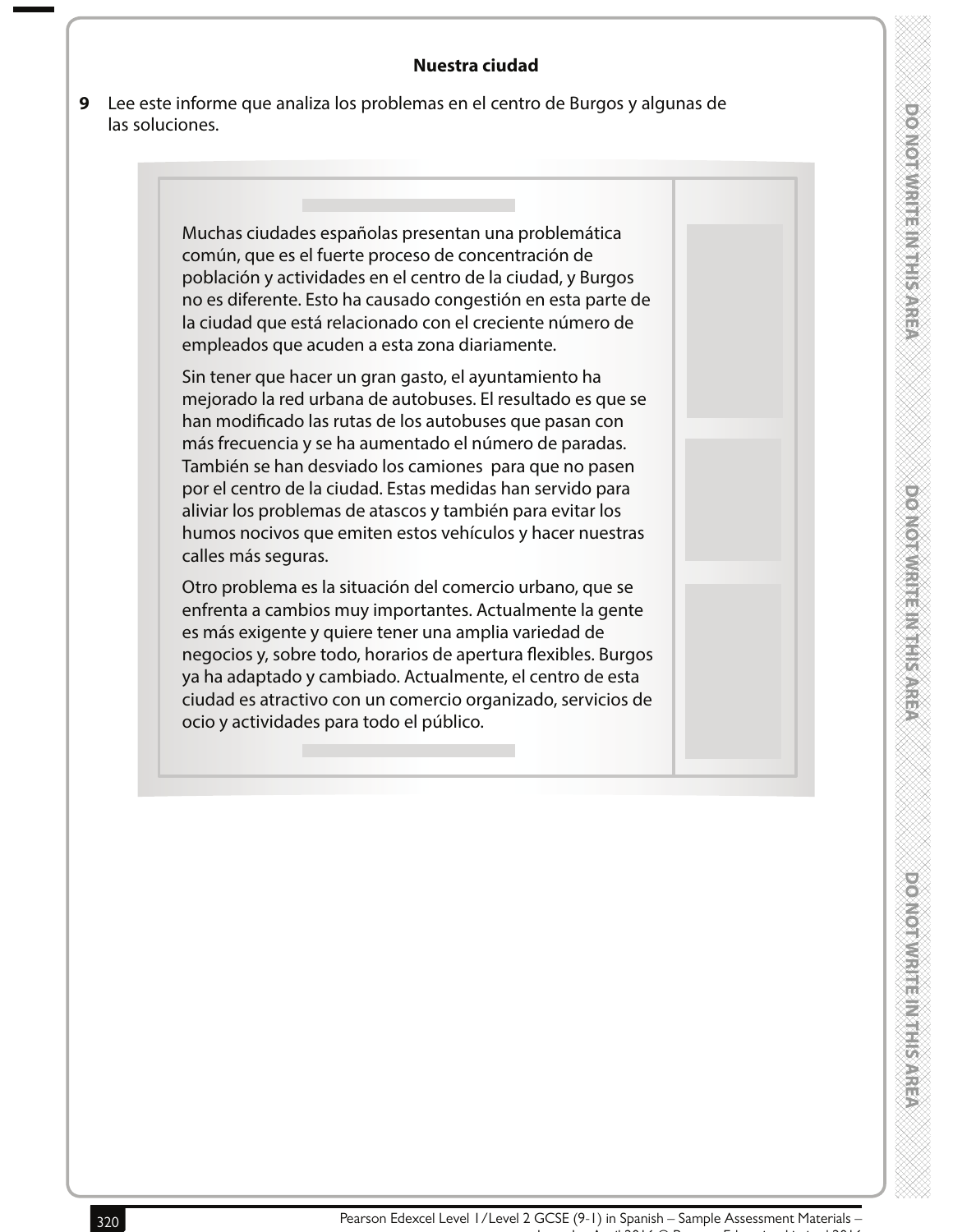#### **Nuestra ciudad**

**9** Lee este informe que analiza los problemas en el centro de Burgos y algunas de las soluciones.

> Muchas ciudades españolas presentan una problemática común, que es el fuerte proceso de concentración de población y actividades en el centro de la ciudad, y Burgos no es diferente. Esto ha causado congestión en esta parte de la ciudad que está relacionado con el creciente número de empleados que acuden a esta zona diariamente.

> Sin tener que hacer un gran gasto, el ayuntamiento ha mejorado la red urbana de autobuses. El resultado es que se han modificado las rutas de los autobuses que pasan con más frecuencia y se ha aumentado el número de paradas. También se han desviado los camiones para que no pasen por el centro de la ciudad. Estas medidas han servido para aliviar los problemas de atascos y también para evitar los humos nocivos que emiten estos vehículos y hacer nuestras calles más seguras.

> Otro problema es la situación del comercio urbano, que se enfrenta a cambios muy importantes. Actualmente la gente es más exigente y quiere tener una amplia variedad de negocios y, sobre todo, horarios de apertura flexibles. Burgos ya ha adaptado y cambiado. Actualmente, el centro de esta ciudad es atractivo con un comercio organizado, servicios de ocio y actividades para todo el público.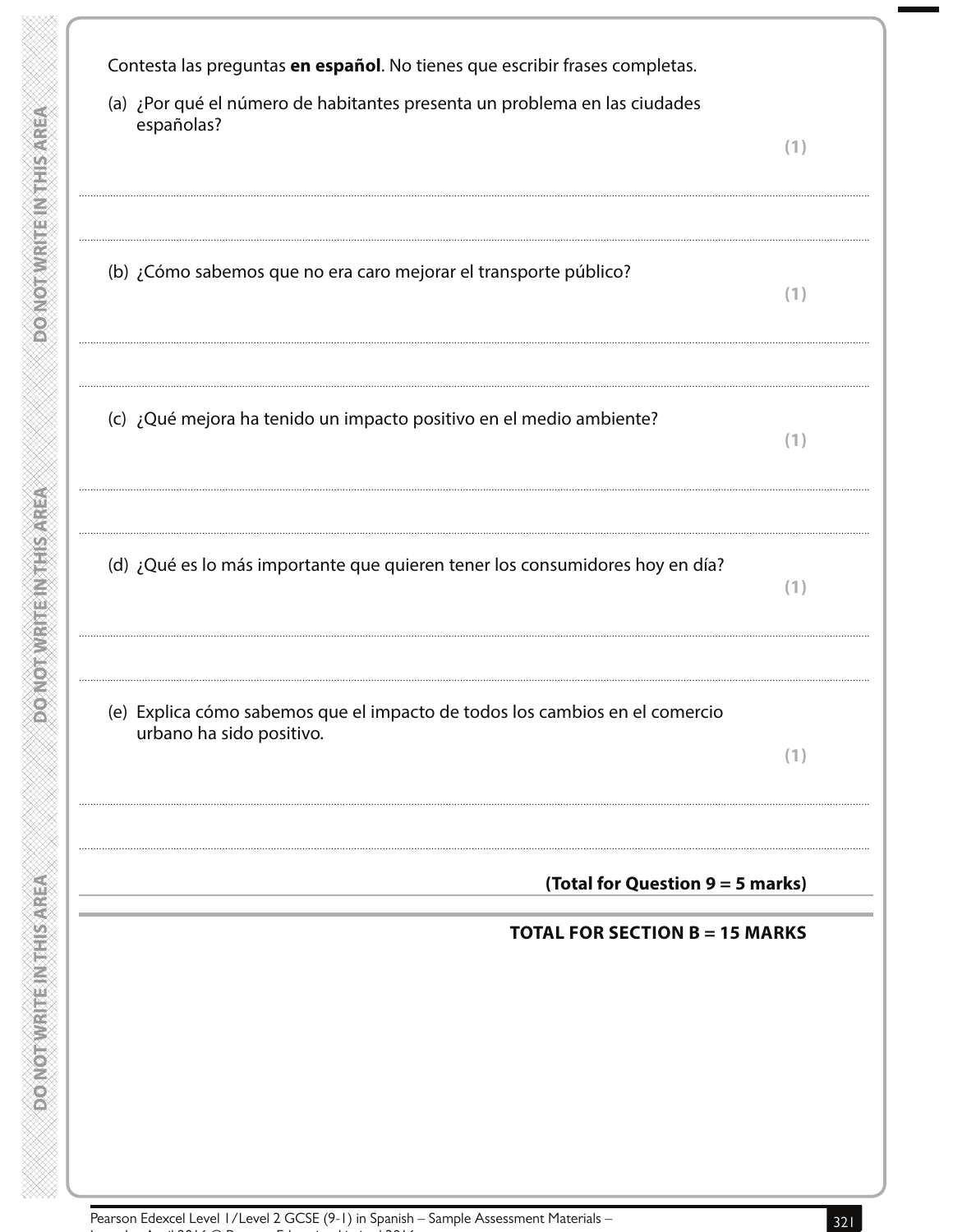Contesta las preguntas en español. No tienes que escribir frases completas. (a) ¿Por qué el número de habitantes presenta un problema en las ciudades españolas?  $(1)$ (b) ¿Cómo sabemos que no era caro mejorar el transporte público?  $(1)$ (c) ¿Qué mejora ha tenido un impacto positivo en el medio ambiente?  $(1)$ (d) ¿Qué es lo más importante que quieren tener los consumidores hoy en día?  $(1)$ (e) Explica cómo sabemos que el impacto de todos los cambios en el comercio urbano ha sido positivo.  $(1)$ (Total for Question 9 = 5 marks) **TOTAL FOR SECTION B = 15 MARKS** 

**ROADORAMENTE ANGELSARE** 

**RESINGLIFICATE IN ACCONDED** 

**DOMOTWRITEINTHIS AREA**